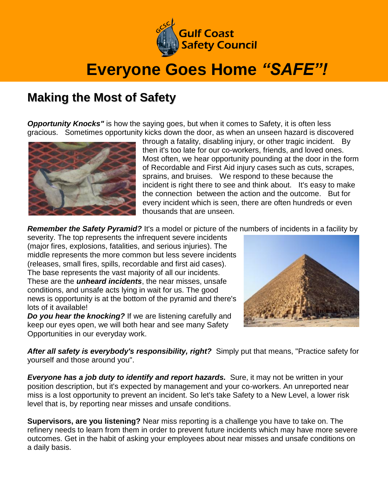

## **Everyone Goes Home** *"SAFE"!*

## **Making the Most of Safety**

**Opportunity Knocks"** is how the saying goes, but when it comes to Safety, it is often less gracious. Sometimes opportunity kicks down the door, as when an unseen hazard is discovered



through a fatality, disabling injury, or other tragic incident. By then it's too late for our co-workers, friends, and loved ones. Most often, we hear opportunity pounding at the door in the form of Recordable and First Aid injury cases such as cuts, scrapes, sprains, and bruises. We respond to these because the incident is right there to see and think about. It's easy to make the connection between the action and the outcome. But for every incident which is seen, there are often hundreds or even thousands that are unseen.

**Remember the Safety Pyramid?** It's a model or picture of the numbers of incidents in a facility by

severity. The top represents the infrequent severe incidents (major fires, explosions, fatalities, and serious injuries). The middle represents the more common but less severe incidents (releases, small fires, spills, recordable and first aid cases). The base represents the vast majority of all our incidents. These are the *unheard incidents*, the near misses, unsafe conditions, and unsafe acts lying in wait for us. The good news is opportunity is at the bottom of the pyramid and there's lots of it available!

*Do you hear the knocking?* If we are listening carefully and keep our eyes open, we will both hear and see many Safety Opportunities in our everyday work.



*After all safety is everybody's responsibility, right?* Simply put that means, "Practice safety for yourself and those around you".

*Everyone has a job duty to identify and report hazards.* Sure, it may not be written in your position description, but it's expected by management and your co-workers. An unreported near miss is a lost opportunity to prevent an incident. So let's take Safety to a New Level, a lower risk level that is, by reporting near misses and unsafe conditions.

**Supervisors, are you listening?** Near miss reporting is a challenge you have to take on. The refinery needs to learn from them in order to prevent future incidents which may have more severe outcomes. Get in the habit of asking your employees about near misses and unsafe conditions on a daily basis.